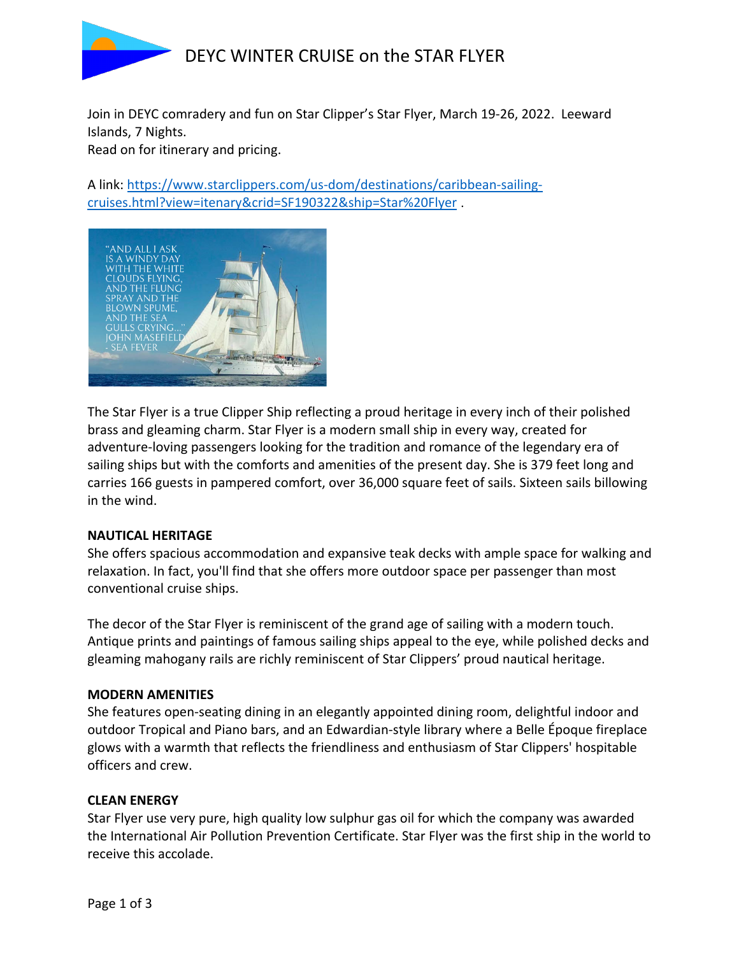

Join in DEYC comradery and fun on Star Clipper's Star Flyer, March 19-26, 2022. Leeward Islands, 7 Nights.

Read on for itinerary and pricing.

A link: https://www.starclippers.com/us-dom/destinations/caribbean-sailingcruises.html?view=itenary&crid=SF190322&ship=Star%20Flyer .



The Star Flyer is a true Clipper Ship reflecting a proud heritage in every inch of their polished brass and gleaming charm. Star Flyer is a modern small ship in every way, created for adventure-loving passengers looking for the tradition and romance of the legendary era of sailing ships but with the comforts and amenities of the present day. She is 379 feet long and carries 166 guests in pampered comfort, over 36,000 square feet of sails. Sixteen sails billowing in the wind.

### **NAUTICAL HERITAGE**

She offers spacious accommodation and expansive teak decks with ample space for walking and relaxation. In fact, you'll find that she offers more outdoor space per passenger than most conventional cruise ships.

The decor of the Star Flyer is reminiscent of the grand age of sailing with a modern touch. Antique prints and paintings of famous sailing ships appeal to the eye, while polished decks and gleaming mahogany rails are richly reminiscent of Star Clippers' proud nautical heritage.

#### **MODERN AMENITIES**

She features open-seating dining in an elegantly appointed dining room, delightful indoor and outdoor Tropical and Piano bars, and an Edwardian-style library where a Belle Époque fireplace glows with a warmth that reflects the friendliness and enthusiasm of Star Clippers' hospitable officers and crew.

#### **CLEAN ENERGY**

Star Flyer use very pure, high quality low sulphur gas oil for which the company was awarded the International Air Pollution Prevention Certificate. Star Flyer was the first ship in the world to receive this accolade.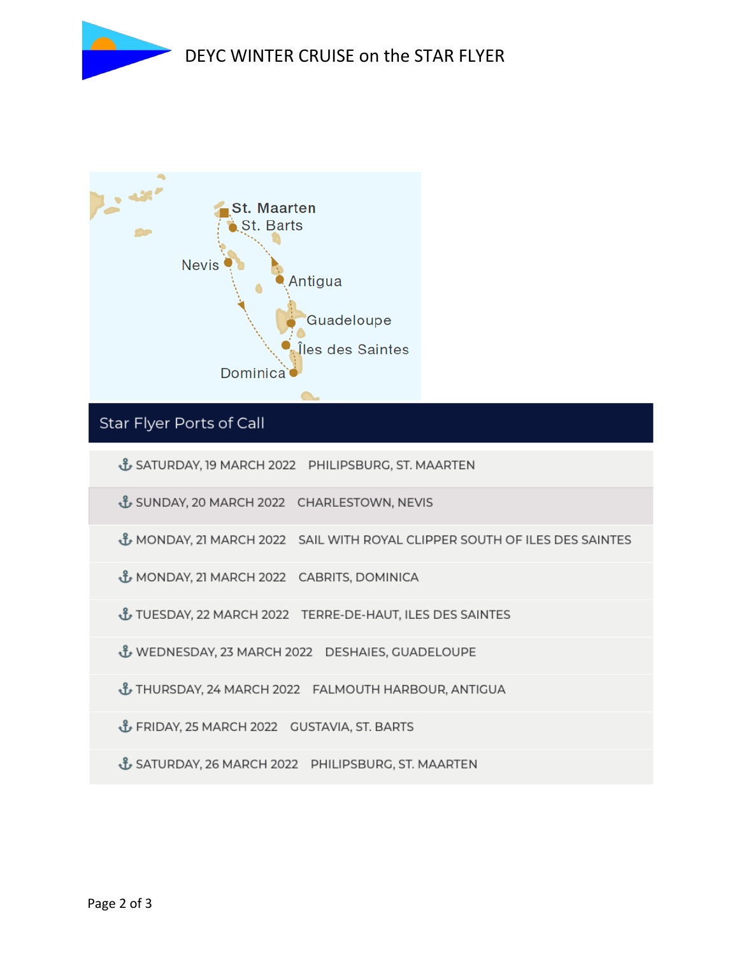



# Star Flyer Ports of Call

& SATURDAY, 19 MARCH 2022 PHILIPSBURG, ST. MAARTEN

- & SUNDAY, 20 MARCH 2022 CHARLESTOWN, NEVIS
- & MONDAY, 21 MARCH 2022 SAIL WITH ROYAL CLIPPER SOUTH OF ILES DES SAINTES
- & MONDAY, 21 MARCH 2022 CABRITS, DOMINICA
- LES DES SAINTES TUESDAY, 22 MARCH 2022 TERRE-DE-HAUT, ILES DES SAINTES
- & WEDNESDAY, 23 MARCH 2022 DESHAIES, GUADELOUPE
- & THURSDAY, 24 MARCH 2022 FALMOUTH HARBOUR, ANTIGUA
- & FRIDAY, 25 MARCH 2022 GUSTAVIA, ST. BARTS
- & SATURDAY, 26 MARCH 2022 PHILIPSBURG, ST. MAARTEN